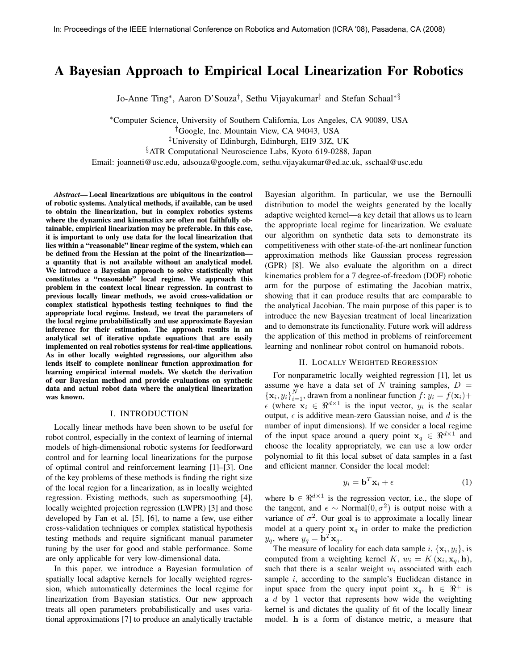# A Bayesian Approach to Empirical Local Linearization For Robotics

Jo-Anne Ting<sup>∗</sup> , Aaron D'Souza† , Sethu Vijayakumar‡ and Stefan Schaal∗§

<sup>∗</sup>Computer Science, University of Southern California, Los Angeles, CA 90089, USA

†Google, Inc. Mountain View, CA 94043, USA

‡University of Edinburgh, Edinburgh, EH9 3JZ, UK

§ATR Computational Neuroscience Labs, Kyoto 619-0288, Japan

Email: joanneti@usc.edu, adsouza@google.com, sethu.vijayakumar@ed.ac.uk, sschaal@usc.edu

Abstract— Local linearizations are ubiquitous in the control of robotic systems. Analytical methods, if available, can be used to obtain the linearization, but in complex robotics systems where the dynamics and kinematics are often not faithfully obtainable, empirical linearization may be preferable. In this case, it is important to only use data for the local linearization that lies within a "reasonable" linear regime of the system, which can be defined from the Hessian at the point of the linearization a quantity that is not available without an analytical model. We introduce a Bayesian approach to solve statistically what constitutes a "reasonable" local regime. We approach this problem in the context local linear regression. In contrast to previous locally linear methods, we avoid cross-validation or complex statistical hypothesis testing techniques to find the appropriate local regime. Instead, we treat the parameters of the local regime probabilistically and use approximate Bayesian inference for their estimation. The approach results in an analytical set of iterative update equations that are easily implemented on real robotics systems for real-time applications. As in other locally weighted regressions, our algorithm also lends itself to complete nonlinear function approximation for learning empirical internal models. We sketch the derivation of our Bayesian method and provide evaluations on synthetic data and actual robot data where the analytical linearization was known.

#### I. INTRODUCTION

Locally linear methods have been shown to be useful for robot control, especially in the context of learning of internal models of high-dimensional robotic systems for feedforward control and for learning local linearizations for the purpose of optimal control and reinforcement learning [1]–[3]. One of the key problems of these methods is finding the right size of the local region for a linearization, as in locally weighted regression. Existing methods, such as supersmoothing [4], locally weighted projection regression (LWPR) [3] and those developed by Fan et al. [5], [6], to name a few, use either cross-validation techniques or complex statistical hypothesis testing methods and require significant manual parameter tuning by the user for good and stable performance. Some are only applicable for very low-dimensional data.

In this paper, we introduce a Bayesian formulation of spatially local adaptive kernels for locally weighted regression, which automatically determines the local regime for linearization from Bayesian statistics. Our new approach treats all open parameters probabilistically and uses variational approximations [7] to produce an analytically tractable Bayesian algorithm. In particular, we use the Bernoulli distribution to model the weights generated by the locally adaptive weighted kernel—a key detail that allows us to learn the appropriate local regime for linearization. We evaluate our algorithm on synthetic data sets to demonstrate its competitiveness with other state-of-the-art nonlinear function approximation methods like Gaussian process regression (GPR) [8]. We also evaluate the algorithm on a direct kinematics problem for a 7 degree-of-freedom (DOF) robotic arm for the purpose of estimating the Jacobian matrix, showing that it can produce results that are comparable to the analytical Jacobian. The main purpose of this paper is to introduce the new Bayesian treatment of local linearization and to demonstrate its functionality. Future work will address the application of this method in problems of reinforcement learning and nonlinear robot control on humanoid robots.

### II. LOCALLY WEIGHTED REGRESSION

For nonparametric locally weighted regression [1], let us assume we have a data set of  $N$  training samples,  $D =$  ${x_i, y_i}_{i=1}^N$ , drawn from a nonlinear function  $f: y_i = f(x_i) +$  $\epsilon$  (where  $\mathbf{x}_i \in \mathbb{R}^{d \times 1}$  is the input vector,  $y_i$  is the scalar output,  $\epsilon$  is additive mean-zero Gaussian noise, and d is the number of input dimensions). If we consider a local regime of the input space around a query point  $x_q \in \mathbb{R}^{d \times 1}$  and choose the locality appropriately, we can use a low order polynomial to fit this local subset of data samples in a fast and efficient manner. Consider the local model:

$$
y_i = \mathbf{b}^T \mathbf{x}_i + \epsilon \tag{1}
$$

where  $\mathbf{b} \in \mathbb{R}^{d \times 1}$  is the regression vector, i.e., the slope of the tangent, and  $\epsilon \sim \text{Normal}(0, \sigma^2)$  is output noise with a variance of  $\sigma^2$ . Our goal is to approximate a locally linear model at a query point  $x_q$  in order to make the prediction  $y_q$ , where  $y_q = \mathbf{b}^T \mathbf{x}_q$ .

The measure of locality for each data sample  $i, \{x_i, y_i\}$ , is computed from a weighting kernel K,  $w_i = K(\mathbf{x}_i, \mathbf{x}_q, \mathbf{h})$ , such that there is a scalar weight  $w_i$  associated with each sample  $i$ , according to the sample's Euclidean distance in input space from the query input point  $x_q$ .  $h \in \mathbb{R}^+$  is a  $d$  by 1 vector that represents how wide the weighting kernel is and dictates the quality of fit of the locally linear model. h is a form of distance metric, a measure that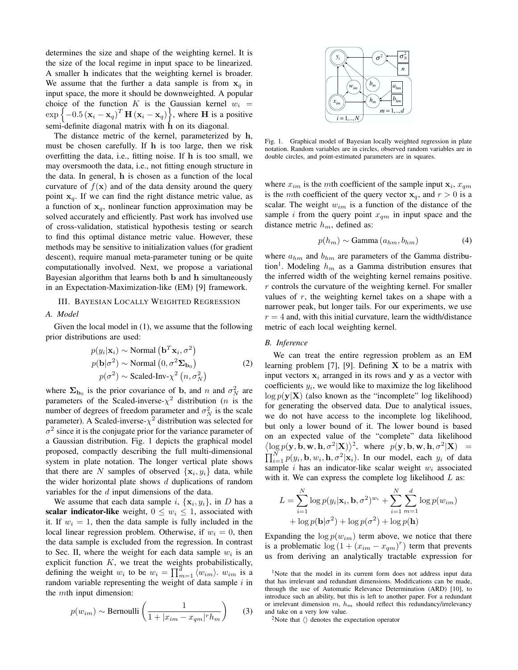determines the size and shape of the weighting kernel. It is the size of the local regime in input space to be linearized. A smaller h indicates that the weighting kernel is broader. We assume that the further a data sample is from  $x_q$  in input space, the more it should be downweighted. A popular choice of the function K is the Gaussian kernel  $w_i$  =  $\exp \left\{-0.5 \left(\mathbf{x}_i - \mathbf{x}_q\right)^T \mathbf{H} \left(\mathbf{x}_i - \mathbf{x}_q\right)\right\}$ , where **H** is a positive semi-definite diagonal matrix with h on its diagonal.

The distance metric of the kernel, parameterized by h, must be chosen carefully. If h is too large, then we risk overfitting the data, i.e., fitting noise. If h is too small, we may oversmooth the data, i.e., not fitting enough structure in the data. In general, h is chosen as a function of the local curvature of  $f(\mathbf{x})$  and of the data density around the query point  $x_q$ . If we can find the right distance metric value, as a function of  $x_q$ , nonlinear function approximation may be solved accurately and efficiently. Past work has involved use of cross-validation, statistical hypothesis testing or search to find this optimal distance metric value. However, these methods may be sensitive to initialization values (for gradient descent), require manual meta-parameter tuning or be quite computationally involved. Next, we propose a variational Bayesian algorithm that learns both b and h simultaneously in an Expectation-Maximization-like (EM) [9] framework.

# III. BAYESIAN LOCALLY WEIGHTED REGRESSION

## A. Model

Given the local model in (1), we assume that the following prior distributions are used:

$$
p(y_i|\mathbf{x}_i) \sim \text{Normal}(\mathbf{b}^T \mathbf{x}_i, \sigma^2)
$$
  
\n
$$
p(\mathbf{b}|\sigma^2) \sim \text{Normal} (0, \sigma^2 \mathbf{\Sigma}_{\mathbf{b}_0})
$$
  
\n
$$
p(\sigma^2) \sim \text{Scaled-Inv-}\chi^2(n, \sigma^2_N)
$$
 (2)

where  $\Sigma_{\mathbf{b}_0}$  is the prior covariance of b, and n and  $\sigma_N^2$  are parameters of the Scaled-inverse- $\chi^2$  distribution (*n* is the number of degrees of freedom parameter and  $\sigma_N^2$  is the scale parameter). A Scaled-inverse- $\chi^2$  distribution was selected for  $\sigma^2$  since it is the conjugate prior for the variance parameter of a Gaussian distribution. Fig. 1 depicts the graphical model proposed, compactly describing the full multi-dimensional system in plate notation. The longer vertical plate shows that there are N samples of observed  $\{x_i, y_i\}$  data, while the wider horizontal plate shows  $d$  duplications of random variables for the d input dimensions of the data.

We assume that each data sample i,  $\{x_i, y_i\}$ , in D has a scalar indicator-like weight,  $0 \leq w_i \leq 1$ , associated with it. If  $w_i = 1$ , then the data sample is fully included in the local linear regression problem. Otherwise, if  $w_i = 0$ , then the data sample is excluded from the regression. In contrast to Sec. II, where the weight for each data sample  $w_i$  is an explicit function  $K$ , we treat the weights probabilistically, defining the weight  $w_i$  to be  $w_i = \prod_{m=1}^d \langle w_{im} \rangle$ .  $w_{im}$  is a random variable representing the weight of data sample  $i$  in the mth input dimension:

$$
p(w_{im}) \sim \text{Bernoulli}\left(\frac{1}{1 + |x_{im} - x_{qm}|^r h_m}\right) \tag{3}
$$



Fig. 1. Graphical model of Bayesian locally weighted regression in plate notation. Random variables are in circles, observed random variables are in double circles, and point-estimated parameters are in squares.

where  $x_{im}$  is the mth coefficient of the sample input  $x_i$ ,  $x_{qm}$ is the *mth* coefficient of the query vector  $x_q$ , and  $r > 0$  is a scalar. The weight  $w_{im}$  is a function of the distance of the sample i from the query point  $x_{qm}$  in input space and the distance metric  $h_m$ , defined as:

$$
p(h_m) \sim \text{Gamma}(a_{hm}, b_{hm}) \tag{4}
$$

where  $a_{hm}$  and  $b_{hm}$  are parameters of the Gamma distribution<sup>1</sup>. Modeling  $h_m$  as a Gamma distribution ensures that the inferred width of the weighting kernel remains positive. r controls the curvature of the weighting kernel. For smaller values of  $r$ , the weighting kernel takes on a shape with a narrower peak, but longer tails. For our experiments, we use  $r = 4$  and, with this initial curvature, learn the width/distance metric of each local weighting kernel.

#### B. Inference

We can treat the entire regression problem as an EM learning problem [7], [9]. Defining  $X$  to be a matrix with input vectors  $x_i$  arranged in its rows and y as a vector with coefficients  $y_i$ , we would like to maximize the log likelihood  $\log p(\mathbf{y}|\mathbf{X})$  (also known as the "incomplete" log likelihood) for generating the observed data. Due to analytical issues, we do not have access to the incomplete log likelihood, but only a lower bound of it. The lower bound is based on an expected value of the "complete" data likelihood  $\langle \log p(\mathbf{y}, \mathbf{b}, \mathbf{w}, \mathbf{h}, \sigma^2 | \mathbf{X}) \rangle^2$ , where  $p(\mathbf{y}, \mathbf{b}, \mathbf{w}, \mathbf{h}, \sigma^2 | \mathbf{X}) =$  $\prod_{i=1}^{N} p(y_i, \mathbf{b}, w_i, \mathbf{h}, \sigma^2 | \mathbf{x}_i)$ . In our model, each  $y_i$  of data sample i has an indicator-like scalar weight  $w_i$  associated with it. We can express the complete log likelihood  $L$  as:

$$
L = \sum_{i=1}^{N} \log p(y_i | \mathbf{x}_i, \mathbf{b}, \sigma^2)^{w_i} + \sum_{i=1}^{N} \sum_{m=1}^{d} \log p(w_{im})
$$

$$
+ \log p(\mathbf{b} | \sigma^2) + \log p(\sigma^2) + \log p(\mathbf{h})
$$

Expanding the  $\log p(w_{im})$  term above, we notice that there is a problematic  $\log(1 + (x_{im} - x_{qm})^r)$  term that prevents us from deriving an analytically tractable expression for

<sup>2</sup>Note that  $\langle \rangle$  denotes the expectation operator

<sup>&</sup>lt;sup>1</sup>Note that the model in its current form does not address input data that has irrelevant and redundant dimensions. Modifications can be made, through the use of Automatic Relevance Determination (ARD) [10], to introduce such an ability, but this is left to another paper. For a redundant or irrelevant dimension  $m$ ,  $h_m$  should reflect this redundancy/irrelevancy and take on a very low value.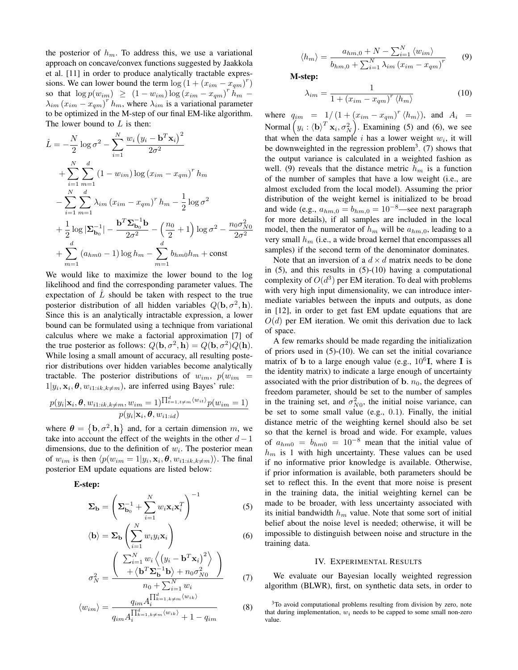the posterior of  $h_m$ . To address this, we use a variational approach on concave/convex functions suggested by Jaakkola et al. [11] in order to produce analytically tractable expressions. We can lower bound the term  $\log(1 + (x_{im} - x_{qm})^r)$ so that  $\log p(w_{im}) \ge (1 - w_{im}) \log (x_{im} - x_{qm})^r \hat{h}_m$  $\lambda_{im} (x_{im} - x_{qm})^r h_m$ , where  $\lambda_{im}$  is a variational parameter to be optimized in the M-step of our final EM-like algorithm. The lower bound to  $L$  is then:

$$
\hat{L} = -\frac{N}{2} \log \sigma^2 - \sum_{i=1}^N \frac{w_i (y_i - \mathbf{b}^T \mathbf{x}_i)^2}{2\sigma^2} \n+ \sum_{i=1}^N \sum_{m=1}^d (1 - w_{im}) \log (x_{im} - x_{qm})^r h_m \n- \sum_{i=1}^N \sum_{m=1}^d \lambda_{im} (x_{im} - x_{qm})^r h_m - \frac{1}{2} \log \sigma^2 \n+ \frac{1}{2} \log |\mathbf{\Sigma}_{\mathbf{b}_0}^{-1}| - \frac{\mathbf{b}^T \mathbf{\Sigma}_{\mathbf{b}_0}^{-1} \mathbf{b}}{2\sigma^2} - \left(\frac{n_0}{2} + 1\right) \log \sigma^2 - \frac{n_0 \sigma_{NO}^2}{2\sigma^2} \n+ \sum_{m=1}^d (a_{hm0} - 1) \log h_m - \sum_{m=1}^d b_{hm0} h_m + \text{const}
$$

We would like to maximize the lower bound to the log likelihood and find the corresponding parameter values. The expectation of  $\hat{L}$  should be taken with respect to the true posterior distribution of all hidden variables  $Q(\mathbf{b}, \sigma^2, \mathbf{h})$ . Since this is an analytically intractable expression, a lower bound can be formulated using a technique from variational calculus where we make a factorial approximation [7] of the true posterior as follows:  $Q(\mathbf{b}, \sigma^2, \mathbf{h}) = Q(\mathbf{b}, \sigma^2)Q(\mathbf{h}).$ While losing a small amount of accuracy, all resulting posterior distributions over hidden variables become analytically tractable. The posterior distributions of  $w_{im}$ ,  $p(w_{im})$  $1|y_i, \mathbf{x}_i, \theta, w_{i1:ik,k \neq m}$ , are inferred using Bayes' rule:

$$
\frac{p(y_i|\mathbf{x}_i,\boldsymbol{\theta},w_{i1:ik,k\neq m},w_{im}=1)^{\prod_{t=1,t\neq m}^{d}(w_{it})}p(w_{im}=1)}{p(y_i|\mathbf{x}_i,\boldsymbol{\theta},w_{i1:id})}
$$

where  $\theta = {\mathbf{b}, \sigma^2, \mathbf{h}}$  and, for a certain dimension m, we take into account the effect of the weights in the other  $d-1$ dimensions, due to the definition of  $w_i$ . The posterior mean of  $w_{im}$  is then  $\langle p(w_{im} = 1 | y_i, \mathbf{x}_i, \boldsymbol{\theta}, w_{i1:ik,k \neq m}) \rangle$ . The final posterior EM update equations are listed below:

E-step:

$$
\Sigma_{\mathbf{b}} = \left(\Sigma_{\mathbf{b}_0}^{-1} + \sum_{i=1}^{N} w_i \mathbf{x}_i \mathbf{x}_i^T\right)^{-1}
$$
(5)

$$
\langle \mathbf{b} \rangle = \Sigma_{\mathbf{b}} \left( \sum_{i=1}^{N} w_i y_i \mathbf{x}_i \right) \tag{6}
$$

$$
\sigma_N^2 = \frac{\begin{pmatrix} \sum_{i=1}^N w_i \left\langle (y_i - \mathbf{b}^T \mathbf{x}_i)^2 \right\rangle \\ + \left\langle \mathbf{b}^T \mathbf{\Sigma}_{\mathbf{b}}^{-1} \mathbf{b} \right\rangle + n_0 \sigma_{N0}^2 \end{pmatrix}}{n_0 + \sum_{i=1}^N w_i} \tag{7}
$$

$$
\langle w_{im} \rangle = \frac{q_{im} A_i^{\prod_{k=1, k \neq m}^{d} \langle w_{ik} \rangle}}{q_{im} A_i^{\prod_{k=1, k \neq m}^{d} \langle w_{ik} \rangle} + 1 - q_{im}}
$$
(8)

$$
\langle h_m \rangle = \frac{a_{hm,0} + N - \sum_{i=1}^{N} \langle w_{im} \rangle}{b_{hm,0} + \sum_{i=1}^{N} \lambda_{im} (x_{im} - x_{qm})^r}
$$
(9)

M-step:

$$
\lambda_{im} = \frac{1}{1 + \left(x_{im} - x_{qm}\right)^r \langle h_m \rangle} \tag{10}
$$

where  $q_{im} = 1/(1 + (x_{im} - x_{qm})^r \langle h_m \rangle)$ , and  $A_i =$ Normal  $(y_i : \langle \mathbf{b} \rangle^T \mathbf{x}_i, \sigma_N^2)$ . Examining (5) and (6), we see that when the data sample i has a lower weight  $w_i$ , it will be downweighted in the regression problem<sup>3</sup>. (7) shows that the output variance is calculated in a weighted fashion as well. (9) reveals that the distance metric  $h_m$  is a function of the number of samples that have a low weight (i.e., are almost excluded from the local model). Assuming the prior distribution of the weight kernel is initialized to be broad and wide (e.g.,  $a_{hm,0} = b_{hm,0} = 10^{-8}$ —see next paragraph for more details), if all samples are included in the local model, then the numerator of  $h_m$  will be  $a_{hm,0}$ , leading to a very small  $h_m$  (i.e., a wide broad kernel that encompasses all samples) if the second term of the denominator dominates.

Note that an inversion of a  $d \times d$  matrix needs to be done in  $(5)$ , and this results in  $(5)-(10)$  having a computational complexity of  $O(d^3)$  per EM iteration. To deal with problems with very high input dimensionality, we can introduce intermediate variables between the inputs and outputs, as done in [12], in order to get fast EM update equations that are  $O(d)$  per EM iteration. We omit this derivation due to lack of space.

A few remarks should be made regarding the initialization of priors used in (5)-(10). We can set the initial covariance matrix of b to a large enough value (e.g.,  $10^6$ **I**, where **I** is the identity matrix) to indicate a large enough of uncertainty associated with the prior distribution of b.  $n_0$ , the degrees of freedom parameter, should be set to the number of samples in the training set, and  $\sigma_{N0}^2$ , the initial noise variance, can be set to some small value (e.g., 0.1). Finally, the initial distance metric of the weighting kernel should also be set so that the kernel is broad and wide. For example, values of  $a_{hm0} = b_{hm0} = 10^{-8}$  mean that the initial value of  $h_m$  is 1 with high uncertainty. These values can be used if no informative prior knowledge is available. Otherwise, if prior information is available, both parameters should be set to reflect this. In the event that more noise is present in the training data, the initial weighting kernel can be made to be broader, with less uncertainty associated with its initial bandwidth  $h_m$  value. Note that some sort of initial belief about the noise level is needed; otherwise, it will be impossible to distinguish between noise and structure in the training data.

#### IV. EXPERIMENTAL RESULTS

We evaluate our Bayesian locally weighted regression algorithm (BLWR), first, on synthetic data sets, in order to

<sup>&</sup>lt;sup>3</sup>To avoid computational problems resulting from division by zero, note that during implementation,  $w_i$  needs to be capped to some small non-zero value.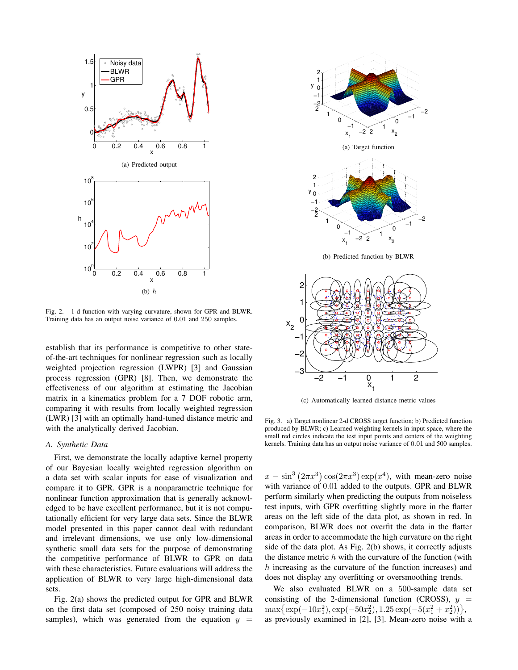

Fig. 2. 1-d function with varying curvature, shown for GPR and BLWR. Training data has an output noise variance of 0.01 and 250 samples.

establish that its performance is competitive to other stateof-the-art techniques for nonlinear regression such as locally weighted projection regression (LWPR) [3] and Gaussian process regression (GPR) [8]. Then, we demonstrate the effectiveness of our algorithm at estimating the Jacobian matrix in a kinematics problem for a 7 DOF robotic arm, comparing it with results from locally weighted regression (LWR) [3] with an optimally hand-tuned distance metric and with the analytically derived Jacobian.

#### A. Synthetic Data

First, we demonstrate the locally adaptive kernel property of our Bayesian locally weighted regression algorithm on a data set with scalar inputs for ease of visualization and compare it to GPR. GPR is a nonparametric technique for nonlinear function approximation that is generally acknowledged to be have excellent performance, but it is not computationally efficient for very large data sets. Since the BLWR model presented in this paper cannot deal with redundant and irrelevant dimensions, we use only low-dimensional synthetic small data sets for the purpose of demonstrating the competitive performance of BLWR to GPR on data with these characteristics. Future evaluations will address the application of BLWR to very large high-dimensional data sets.

Fig. 2(a) shows the predicted output for GPR and BLWR on the first data set (composed of 250 noisy training data samples), which was generated from the equation  $y =$ 



(c) Automatically learned distance metric values

Fig. 3. a) Target nonlinear 2-d CROSS target function; b) Predicted function produced by BLWR; c) Learned weighting kernels in input space, where the small red circles indicate the test input points and centers of the weighting kernels. Training data has an output noise variance of 0.01 and 500 samples.

 $x - \sin^3(2\pi x^3)\cos(2\pi x^3)\exp(x^4)$ , with mean-zero noise with variance of 0.01 added to the outputs. GPR and BLWR perform similarly when predicting the outputs from noiseless test inputs, with GPR overfitting slightly more in the flatter areas on the left side of the data plot, as shown in red. In comparison, BLWR does not overfit the data in the flatter areas in order to accommodate the high curvature on the right side of the data plot. As Fig. 2(b) shows, it correctly adjusts the distance metric  $h$  with the curvature of the function (with h increasing as the curvature of the function increases) and does not display any overfitting or oversmoothing trends.

We also evaluated BLWR on a 500-sample data set consisting of the 2-dimensional function (CROSS),  $y =$  $\max\{\exp(-10x_1^2), \exp(-50x_2^2), 1.25\exp(-5(x_1^2+x_2^2))\},\$ as previously examined in [2], [3]. Mean-zero noise with a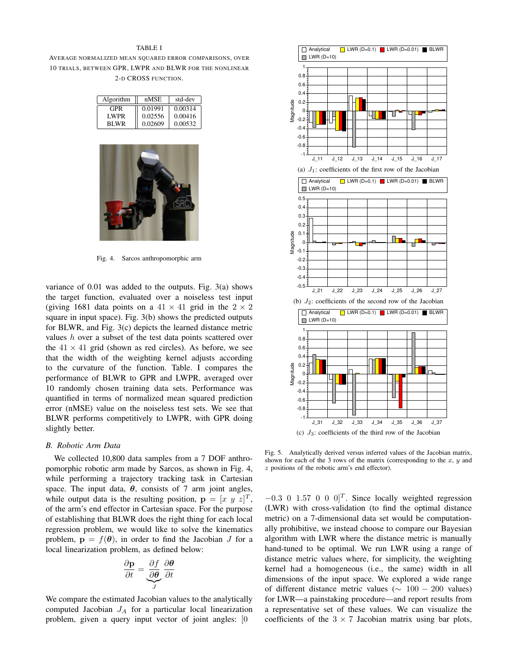### TABLE I

AVERAGE NORMALIZED MEAN SQUARED ERROR COMPARISONS, OVER 10 TRIALS, BETWEEN GPR, LWPR AND BLWR FOR THE NONLINEAR 2-D CROSS FUNCTION.

| Algorithm   | nMSE    | std-dev |  |
|-------------|---------|---------|--|
| GPR         | 0.01991 | 0.00314 |  |
| <b>LWPR</b> | 0.02556 | 0.00416 |  |
| BI WR       | 0.02609 | 0.00532 |  |



Fig. 4. Sarcos anthropomorphic arm

variance of 0.01 was added to the outputs. Fig. 3(a) shows the target function, evaluated over a noiseless test input (giving 1681 data points on a  $41 \times 41$  grid in the  $2 \times 2$ square in input space). Fig. 3(b) shows the predicted outputs for BLWR, and Fig. 3(c) depicts the learned distance metric values h over a subset of the test data points scattered over the  $41 \times 41$  grid (shown as red circles). As before, we see that the width of the weighting kernel adjusts according to the curvature of the function. Table. I compares the performance of BLWR to GPR and LWPR, averaged over 10 randomly chosen training data sets. Performance was quantified in terms of normalized mean squared prediction error (nMSE) value on the noiseless test sets. We see that BLWR performs competitively to LWPR, with GPR doing slightly better.

## B. Robotic Arm Data

We collected 10,800 data samples from a 7 DOF anthropomorphic robotic arm made by Sarcos, as shown in Fig. 4, while performing a trajectory tracking task in Cartesian space. The input data,  $\theta$ , consists of 7 arm joint angles, while output data is the resulting position,  $\mathbf{p} = [x \ y \ z]^T$ , of the arm's end effector in Cartesian space. For the purpose of establishing that BLWR does the right thing for each local regression problem, we would like to solve the kinematics problem,  $\mathbf{p} = f(\theta)$ , in order to find the Jacobian J for a local linearization problem, as defined below:

$$
\frac{\partial \mathbf{p}}{\partial t} = \underbrace{\frac{\partial f}{\partial \theta}}_{J} \frac{\partial \theta}{\partial t}
$$

We compare the estimated Jacobian values to the analytically computed Jacobian  $J_A$  for a particular local linearization problem, given a query input vector of joint angles: [0



(c)  $J_3$ : coefficients of the third row of the Jacobian

Fig. 5. Analytically derived versus inferred values of the Jacobian matrix, shown for each of the 3 rows of the matrix (corresponding to the  $x, y$  and z positions of the robotic arm's end effector).

 $-0.3$  0 1.57 0 0 0]<sup>T</sup>. Since locally weighted regression (LWR) with cross-validation (to find the optimal distance metric) on a 7-dimensional data set would be computationally prohibitive, we instead choose to compare our Bayesian algorithm with LWR where the distance metric is manually hand-tuned to be optimal. We run LWR using a range of distance metric values where, for simplicity, the weighting kernel had a homogeneous (i.e., the same) width in all dimensions of the input space. We explored a wide range of different distance metric values ( $\sim 100 - 200$  values) for LWR—a painstaking procedure—and report results from a representative set of these values. We can visualize the coefficients of the  $3 \times 7$  Jacobian matrix using bar plots,